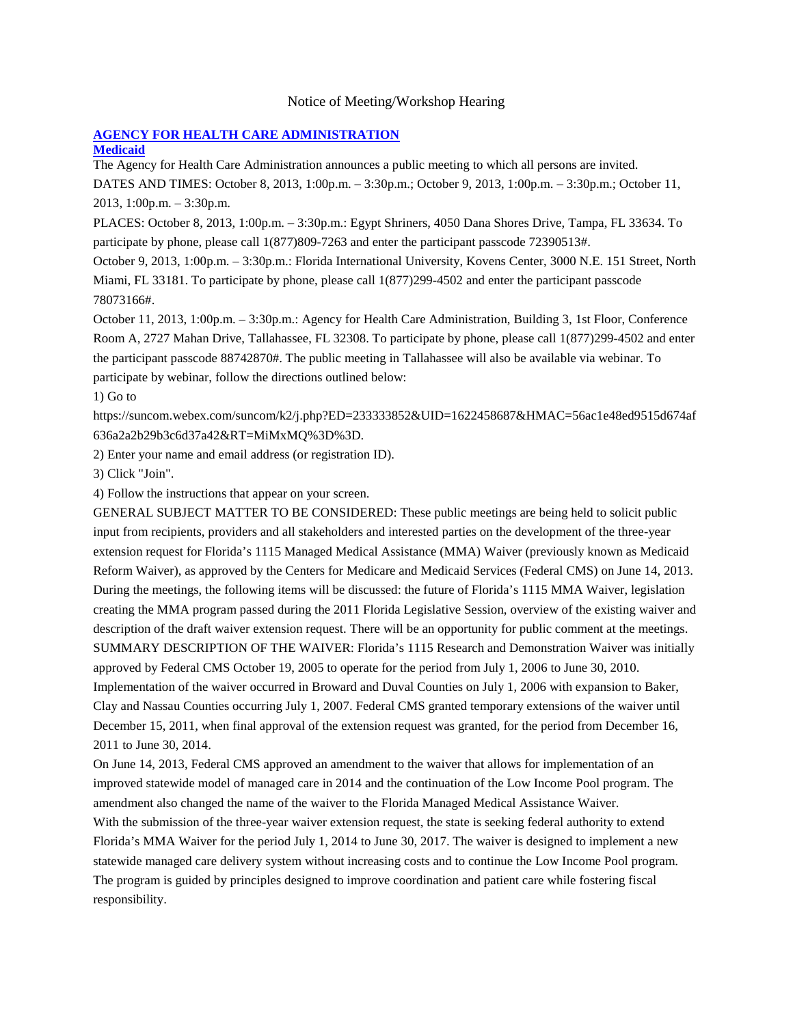### Notice of Meeting/Workshop Hearing

# **[AGENCY FOR HEALTH CARE ADMINISTRATION](https://www.flrules.org/gateway/department.asp?id=59)**

## **[Medicaid](https://www.flrules.org/gateway/organization.asp?id=192)**

The Agency for Health Care Administration announces a public meeting to which all persons are invited.

DATES AND TIMES: October 8, 2013, 1:00p.m. – 3:30p.m.; October 9, 2013, 1:00p.m. – 3:30p.m.; October 11, 2013, 1:00p.m. – 3:30p.m.

PLACES: October 8, 2013, 1:00p.m. – 3:30p.m.: Egypt Shriners, 4050 Dana Shores Drive, Tampa, FL 33634. To participate by phone, please call 1(877)809-7263 and enter the participant passcode 72390513#.

October 9, 2013, 1:00p.m. – 3:30p.m.: Florida International University, Kovens Center, 3000 N.E. 151 Street, North Miami, FL 33181. To participate by phone, please call 1(877)299-4502 and enter the participant passcode 78073166#.

October 11, 2013, 1:00p.m. – 3:30p.m.: Agency for Health Care Administration, Building 3, 1st Floor, Conference Room A, 2727 Mahan Drive, Tallahassee, FL 32308. To participate by phone, please call 1(877)299-4502 and enter the participant passcode 88742870#. The public meeting in Tallahassee will also be available via webinar. To participate by webinar, follow the directions outlined below:

1) Go to

https://suncom.webex.com/suncom/k2/j.php?ED=233333852&UID=1622458687&HMAC=56ac1e48ed9515d674af 636a2a2b29b3c6d37a42&RT=MiMxMQ%3D%3D.

2) Enter your name and email address (or registration ID).

3) Click "Join".

4) Follow the instructions that appear on your screen.

GENERAL SUBJECT MATTER TO BE CONSIDERED: These public meetings are being held to solicit public input from recipients, providers and all stakeholders and interested parties on the development of the three-year extension request for Florida's 1115 Managed Medical Assistance (MMA) Waiver (previously known as Medicaid Reform Waiver), as approved by the Centers for Medicare and Medicaid Services (Federal CMS) on June 14, 2013. During the meetings, the following items will be discussed: the future of Florida's 1115 MMA Waiver, legislation creating the MMA program passed during the 2011 Florida Legislative Session, overview of the existing waiver and description of the draft waiver extension request. There will be an opportunity for public comment at the meetings. SUMMARY DESCRIPTION OF THE WAIVER: Florida's 1115 Research and Demonstration Waiver was initially approved by Federal CMS October 19, 2005 to operate for the period from July 1, 2006 to June 30, 2010. Implementation of the waiver occurred in Broward and Duval Counties on July 1, 2006 with expansion to Baker, Clay and Nassau Counties occurring July 1, 2007. Federal CMS granted temporary extensions of the waiver until December 15, 2011, when final approval of the extension request was granted, for the period from December 16, 2011 to June 30, 2014.

On June 14, 2013, Federal CMS approved an amendment to the waiver that allows for implementation of an improved statewide model of managed care in 2014 and the continuation of the Low Income Pool program. The amendment also changed the name of the waiver to the Florida Managed Medical Assistance Waiver. With the submission of the three-year waiver extension request, the state is seeking federal authority to extend Florida's MMA Waiver for the period July 1, 2014 to June 30, 2017. The waiver is designed to implement a new statewide managed care delivery system without increasing costs and to continue the Low Income Pool program. The program is guided by principles designed to improve coordination and patient care while fostering fiscal responsibility.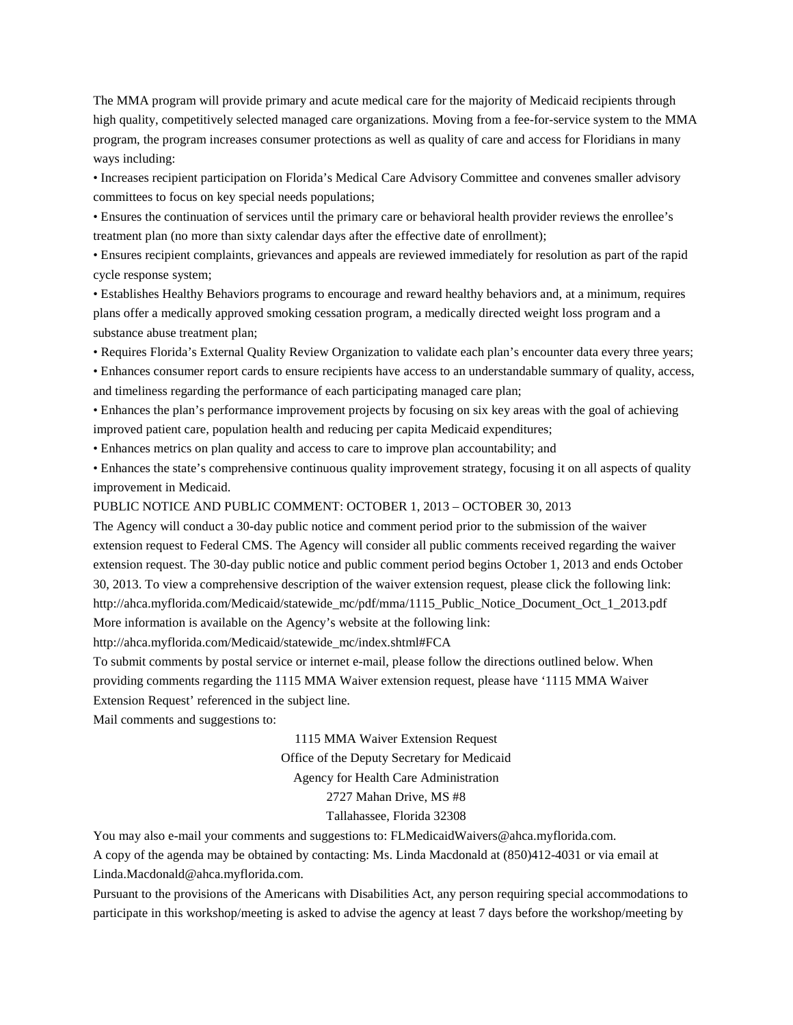The MMA program will provide primary and acute medical care for the majority of Medicaid recipients through high quality, competitively selected managed care organizations. Moving from a fee-for-service system to the MMA program, the program increases consumer protections as well as quality of care and access for Floridians in many ways including:

• Increases recipient participation on Florida's Medical Care Advisory Committee and convenes smaller advisory committees to focus on key special needs populations;

• Ensures the continuation of services until the primary care or behavioral health provider reviews the enrollee's treatment plan (no more than sixty calendar days after the effective date of enrollment);

• Ensures recipient complaints, grievances and appeals are reviewed immediately for resolution as part of the rapid cycle response system;

• Establishes Healthy Behaviors programs to encourage and reward healthy behaviors and, at a minimum, requires plans offer a medically approved smoking cessation program, a medically directed weight loss program and a substance abuse treatment plan;

• Requires Florida's External Quality Review Organization to validate each plan's encounter data every three years;

• Enhances consumer report cards to ensure recipients have access to an understandable summary of quality, access, and timeliness regarding the performance of each participating managed care plan;

• Enhances the plan's performance improvement projects by focusing on six key areas with the goal of achieving improved patient care, population health and reducing per capita Medicaid expenditures;

• Enhances metrics on plan quality and access to care to improve plan accountability; and

• Enhances the state's comprehensive continuous quality improvement strategy, focusing it on all aspects of quality improvement in Medicaid.

PUBLIC NOTICE AND PUBLIC COMMENT: OCTOBER 1, 2013 – OCTOBER 30, 2013

The Agency will conduct a 30-day public notice and comment period prior to the submission of the waiver extension request to Federal CMS. The Agency will consider all public comments received regarding the waiver extension request. The 30-day public notice and public comment period begins October 1, 2013 and ends October 30, 2013. To view a comprehensive description of the waiver extension request, please click the following link: http://ahca.myflorida.com/Medicaid/statewide\_mc/pdf/mma/1115\_Public\_Notice\_Document\_Oct\_1\_2013.pdf More information is available on the Agency's website at the following link:

http://ahca.myflorida.com/Medicaid/statewide\_mc/index.shtml#FCA

To submit comments by postal service or internet e-mail, please follow the directions outlined below. When providing comments regarding the 1115 MMA Waiver extension request, please have '1115 MMA Waiver Extension Request' referenced in the subject line.

Mail comments and suggestions to:

1115 MMA Waiver Extension Request

Office of the Deputy Secretary for Medicaid

Agency for Health Care Administration

### 2727 Mahan Drive, MS #8

#### Tallahassee, Florida 32308

You may also e-mail your comments and suggestions to: FLMedicaidWaivers@ahca.myflorida.com.

A copy of the agenda may be obtained by contacting: Ms. Linda Macdonald at (850)412-4031 or via email at Linda.Macdonald@ahca.myflorida.com.

Pursuant to the provisions of the Americans with Disabilities Act, any person requiring special accommodations to participate in this workshop/meeting is asked to advise the agency at least 7 days before the workshop/meeting by